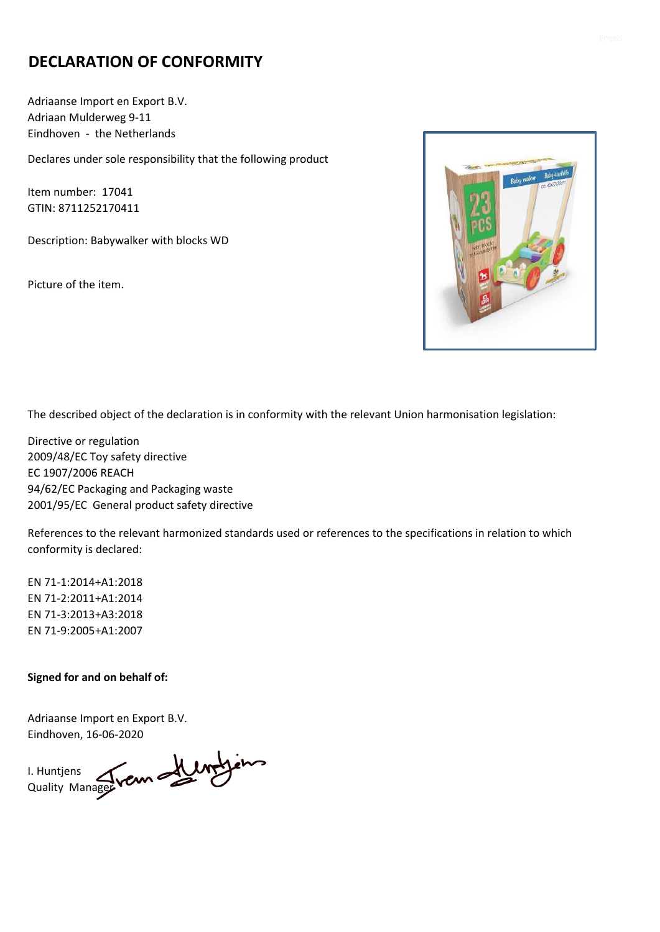## **DECLARATION OF CONFORMITY**

Adriaanse Import en Export B.V. Adriaan Mulderweg 9-11 Eindhoven - the Netherlands

Declares under sole responsibility that the following product

Item number: 17041 GTIN: 8711252170411

Description: Babywalker with blocks WD

Picture of the item.



The described object of the declaration is in conformity with the relevant Union harmonisation legislation:

Directive or regulation 2009/48/EC Toy safety directive EC 1907/2006 REACH 94/62/EC Packaging and Packaging waste 2001/95/EC General product safety directive

References to the relevant harmonized standards used or references to the specifications in relation to which conformity is declared:

EN 71-1:2014+A1:2018 EN 71-2:2011+A1:2014 EN 71-3:2013+A3:2018 EN 71-9:2005+A1:2007

#### **Signed for and on behalf of:**

Adriaanse Import en Export B.V. Eindhoven, 16-06-2020

I. Huntjens Quality Manager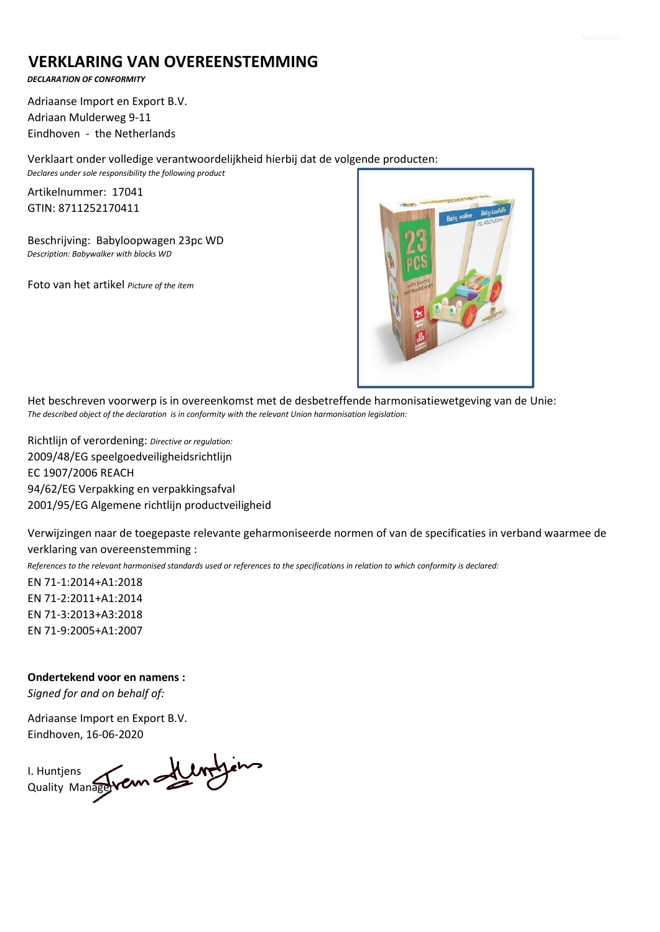### **VERKLARING VAN OVEREENSTEMMING**

*DECLARATION OF CONFORMITY*

Adriaanse Import en Export B.V. Adriaan Mulderweg 9-11 Eindhoven - the Netherlands

Verklaart onder volledige verantwoordelijkheid hierbij dat de volgende producten:

*Declares under sole responsibility the following product*

Artikelnummer: 17041 GTIN: 8711252170411

Beschrijving: Babyloopwagen 23pc WD *Description: Babywalker with blocks WD* 

Foto van het artikel *Picture of the item*



Het beschreven voorwerp is in overeenkomst met de desbetreffende harmonisatiewetgeving van de Unie: *The described object of the declaration is in conformity with the relevant Union harmonisation legislation:*

Richtlijn of verordening: *Directive or regulation:* 2009/48/EG speelgoedveiligheidsrichtlijn EC 1907/2006 REACH 94/62/EG Verpakking en verpakkingsafval 2001/95/EG Algemene richtlijn productveiligheid

Verwijzingen naar de toegepaste relevante geharmoniseerde normen of van de specificaties in verband waarmee de verklaring van overeenstemming :

*References to the relevant harmonised standards used or references to the specifications in relation to which conformity is declared:*

EN 71-1:2014+A1:2018 EN 71-2:2011+A1:2014 EN 71-3:2013+A3:2018 EN 71-9:2005+A1:2007

**Ondertekend voor en namens :** *Signed for and on behalf of:*

Adriaanse Import en Export B.V. Eindhoven, 16-06-2020

I. Huntjens Quality Manager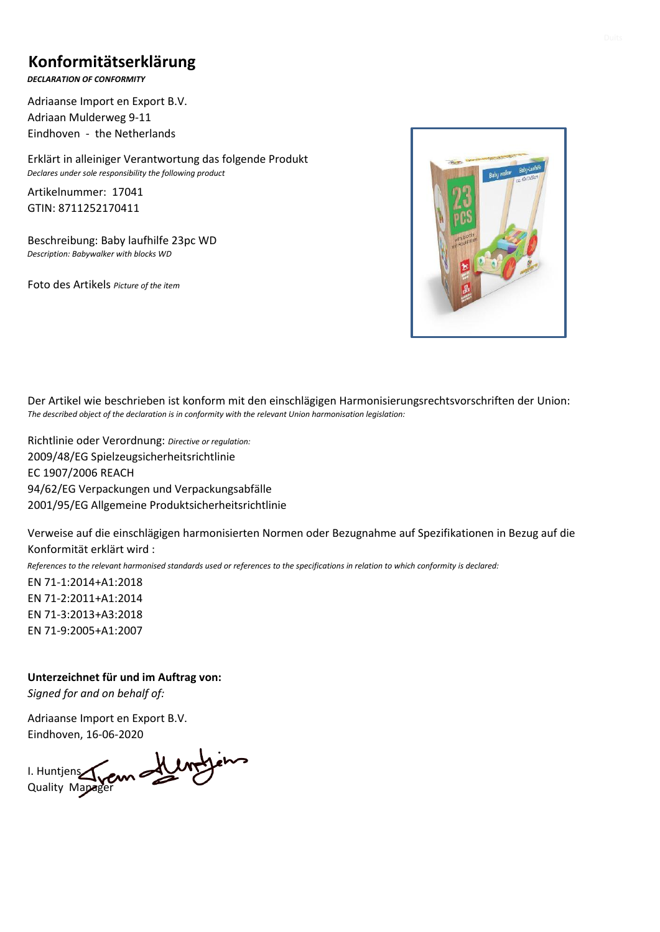### **Konformitätserklärung**

*DECLARATION OF CONFORMITY*

Adriaanse Import en Export B.V. Adriaan Mulderweg 9-11 Eindhoven - the Netherlands

Erklärt in alleiniger Verantwortung das folgende Produkt *Declares under sole responsibility the following product*

Artikelnummer: 17041 GTIN: 8711252170411

Beschreibung: Baby laufhilfe 23pc WD *Description: Babywalker with blocks WD* 

Foto des Artikels *Picture of the item*



Der Artikel wie beschrieben ist konform mit den einschlägigen Harmonisierungsrechtsvorschriften der Union: *The described object of the declaration is in conformity with the relevant Union harmonisation legislation:*

Richtlinie oder Verordnung: *Directive or regulation:* 2009/48/EG Spielzeugsicherheitsrichtlinie EC 1907/2006 REACH 94/62/EG Verpackungen und Verpackungsabfälle 2001/95/EG Allgemeine Produktsicherheitsrichtlinie

Verweise auf die einschlägigen harmonisierten Normen oder Bezugnahme auf Spezifikationen in Bezug auf die Konformität erklärt wird :

*References to the relevant harmonised standards used or references to the specifications in relation to which conformity is declared:*

EN 71-1:2014+A1:2018 EN 71-2:2011+A1:2014 EN 71-3:2013+A3:2018 EN 71-9:2005+A1:2007

**Unterzeichnet für und im Auftrag von:** *Signed for and on behalf of:*

Adriaanse Import en Export B.V. Eindhoven, 16-06-2020

I. Huntjens Quality Mapager